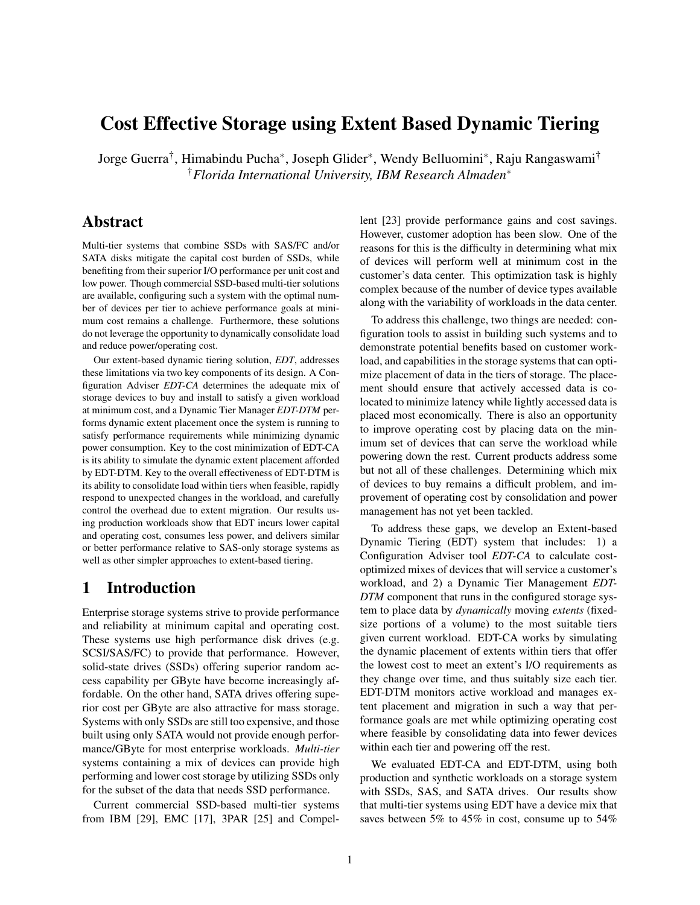# Cost Effective Storage using Extent Based Dynamic Tiering

Jorge Guerra† , Himabindu Pucha<sup>∗</sup> , Joseph Glider<sup>∗</sup> , Wendy Belluomini<sup>∗</sup> , Raju Rangaswami† †*Florida International University, IBM Research Almaden*<sup>∗</sup>

# Abstract

Multi-tier systems that combine SSDs with SAS/FC and/or SATA disks mitigate the capital cost burden of SSDs, while benefiting from their superior I/O performance per unit cost and low power. Though commercial SSD-based multi-tier solutions are available, configuring such a system with the optimal number of devices per tier to achieve performance goals at minimum cost remains a challenge. Furthermore, these solutions do not leverage the opportunity to dynamically consolidate load and reduce power/operating cost.

Our extent-based dynamic tiering solution, *EDT*, addresses these limitations via two key components of its design. A Configuration Adviser *EDT-CA* determines the adequate mix of storage devices to buy and install to satisfy a given workload at minimum cost, and a Dynamic Tier Manager *EDT-DTM* performs dynamic extent placement once the system is running to satisfy performance requirements while minimizing dynamic power consumption. Key to the cost minimization of EDT-CA is its ability to simulate the dynamic extent placement afforded by EDT-DTM. Key to the overall effectiveness of EDT-DTM is its ability to consolidate load within tiers when feasible, rapidly respond to unexpected changes in the workload, and carefully control the overhead due to extent migration. Our results using production workloads show that EDT incurs lower capital and operating cost, consumes less power, and delivers similar or better performance relative to SAS-only storage systems as well as other simpler approaches to extent-based tiering.

# 1 Introduction

Enterprise storage systems strive to provide performance and reliability at minimum capital and operating cost. These systems use high performance disk drives (e.g. SCSI/SAS/FC) to provide that performance. However, solid-state drives (SSDs) offering superior random access capability per GByte have become increasingly affordable. On the other hand, SATA drives offering superior cost per GByte are also attractive for mass storage. Systems with only SSDs are still too expensive, and those built using only SATA would not provide enough performance/GByte for most enterprise workloads. *Multi-tier* systems containing a mix of devices can provide high performing and lower cost storage by utilizing SSDs only for the subset of the data that needs SSD performance.

Current commercial SSD-based multi-tier systems from IBM [\[29\]](#page-13-0), EMC [\[17\]](#page-12-0), 3PAR [\[25\]](#page-12-1) and Compellent [\[23\]](#page-12-2) provide performance gains and cost savings. However, customer adoption has been slow. One of the reasons for this is the difficulty in determining what mix of devices will perform well at minimum cost in the customer's data center. This optimization task is highly complex because of the number of device types available along with the variability of workloads in the data center.

To address this challenge, two things are needed: configuration tools to assist in building such systems and to demonstrate potential benefits based on customer workload, and capabilities in the storage systems that can optimize placement of data in the tiers of storage. The placement should ensure that actively accessed data is colocated to minimize latency while lightly accessed data is placed most economically. There is also an opportunity to improve operating cost by placing data on the minimum set of devices that can serve the workload while powering down the rest. Current products address some but not all of these challenges. Determining which mix of devices to buy remains a difficult problem, and improvement of operating cost by consolidation and power management has not yet been tackled.

To address these gaps, we develop an Extent-based Dynamic Tiering (EDT) system that includes: 1) a Configuration Adviser tool *EDT-CA* to calculate costoptimized mixes of devices that will service a customer's workload, and 2) a Dynamic Tier Management *EDT-DTM* component that runs in the configured storage system to place data by *dynamically* moving *extents* (fixedsize portions of a volume) to the most suitable tiers given current workload. EDT-CA works by simulating the dynamic placement of extents within tiers that offer the lowest cost to meet an extent's I/O requirements as they change over time, and thus suitably size each tier. EDT-DTM monitors active workload and manages extent placement and migration in such a way that performance goals are met while optimizing operating cost where feasible by consolidating data into fewer devices within each tier and powering off the rest.

We evaluated EDT-CA and EDT-DTM, using both production and synthetic workloads on a storage system with SSDs, SAS, and SATA drives. Our results show that multi-tier systems using EDT have a device mix that saves between 5% to 45% in cost, consume up to 54%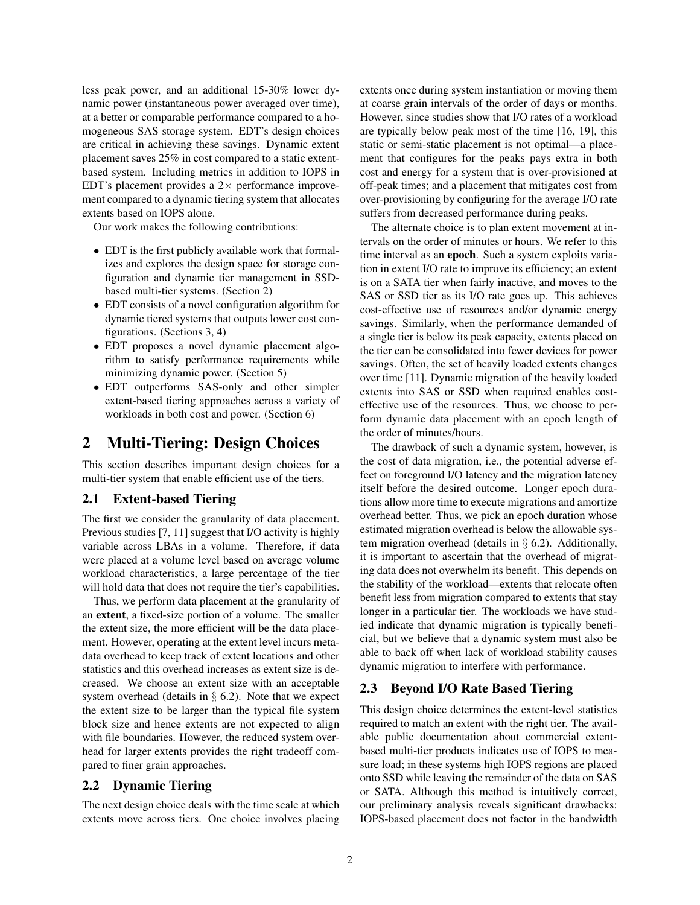less peak power, and an additional 15-30% lower dynamic power (instantaneous power averaged over time), at a better or comparable performance compared to a homogeneous SAS storage system. EDT's design choices are critical in achieving these savings. Dynamic extent placement saves 25% in cost compared to a static extentbased system. Including metrics in addition to IOPS in EDT's placement provides a  $2\times$  performance improvement compared to a dynamic tiering system that allocates extents based on IOPS alone.

Our work makes the following contributions:

- EDT is the first publicly available work that formalizes and explores the design space for storage configuration and dynamic tier management in SSDbased multi-tier systems. (Section [2\)](#page-1-0)
- EDT consists of a novel configuration algorithm for dynamic tiered systems that outputs lower cost configurations. (Sections [3,](#page-2-0) [4\)](#page-4-0)
- EDT proposes a novel dynamic placement algorithm to satisfy performance requirements while minimizing dynamic power. (Section [5\)](#page-4-1)
- EDT outperforms SAS-only and other simpler extent-based tiering approaches across a variety of workloads in both cost and power. (Section [6\)](#page-5-0)

## <span id="page-1-0"></span>2 Multi-Tiering: Design Choices

This section describes important design choices for a multi-tier system that enable efficient use of the tiers.

### 2.1 Extent-based Tiering

The first we consider the granularity of data placement. Previous studies [\[7,](#page-12-3) [11\]](#page-12-4) suggest that I/O activity is highly variable across LBAs in a volume. Therefore, if data were placed at a volume level based on average volume workload characteristics, a large percentage of the tier will hold data that does not require the tier's capabilities.

Thus, we perform data placement at the granularity of an extent, a fixed-size portion of a volume. The smaller the extent size, the more efficient will be the data placement. However, operating at the extent level incurs metadata overhead to keep track of extent locations and other statistics and this overhead increases as extent size is decreased. We choose an extent size with an acceptable system overhead (details in  $\S$  [6.2\)](#page-6-0). Note that we expect the extent size to be larger than the typical file system block size and hence extents are not expected to align with file boundaries. However, the reduced system overhead for larger extents provides the right tradeoff compared to finer grain approaches.

### 2.2 Dynamic Tiering

The next design choice deals with the time scale at which extents move across tiers. One choice involves placing extents once during system instantiation or moving them at coarse grain intervals of the order of days or months. However, since studies show that I/O rates of a workload are typically below peak most of the time [\[16,](#page-12-5) [19\]](#page-12-6), this static or semi-static placement is not optimal—a placement that configures for the peaks pays extra in both cost and energy for a system that is over-provisioned at off-peak times; and a placement that mitigates cost from over-provisioning by configuring for the average I/O rate suffers from decreased performance during peaks.

The alternate choice is to plan extent movement at intervals on the order of minutes or hours. We refer to this time interval as an epoch. Such a system exploits variation in extent I/O rate to improve its efficiency; an extent is on a SATA tier when fairly inactive, and moves to the SAS or SSD tier as its I/O rate goes up. This achieves cost-effective use of resources and/or dynamic energy savings. Similarly, when the performance demanded of a single tier is below its peak capacity, extents placed on the tier can be consolidated into fewer devices for power savings. Often, the set of heavily loaded extents changes over time [\[11\]](#page-12-4). Dynamic migration of the heavily loaded extents into SAS or SSD when required enables costeffective use of the resources. Thus, we choose to perform dynamic data placement with an epoch length of the order of minutes/hours.

The drawback of such a dynamic system, however, is the cost of data migration, i.e., the potential adverse effect on foreground I/O latency and the migration latency itself before the desired outcome. Longer epoch durations allow more time to execute migrations and amortize overhead better. Thus, we pick an epoch duration whose estimated migration overhead is below the allowable system migration overhead (details in § [6.2\)](#page-6-0). Additionally, it is important to ascertain that the overhead of migrating data does not overwhelm its benefit. This depends on the stability of the workload—extents that relocate often benefit less from migration compared to extents that stay longer in a particular tier. The workloads we have studied indicate that dynamic migration is typically beneficial, but we believe that a dynamic system must also be able to back off when lack of workload stability causes dynamic migration to interfere with performance.

### 2.3 Beyond I/O Rate Based Tiering

This design choice determines the extent-level statistics required to match an extent with the right tier. The available public documentation about commercial extentbased multi-tier products indicates use of IOPS to measure load; in these systems high IOPS regions are placed onto SSD while leaving the remainder of the data on SAS or SATA. Although this method is intuitively correct, our preliminary analysis reveals significant drawbacks: IOPS-based placement does not factor in the bandwidth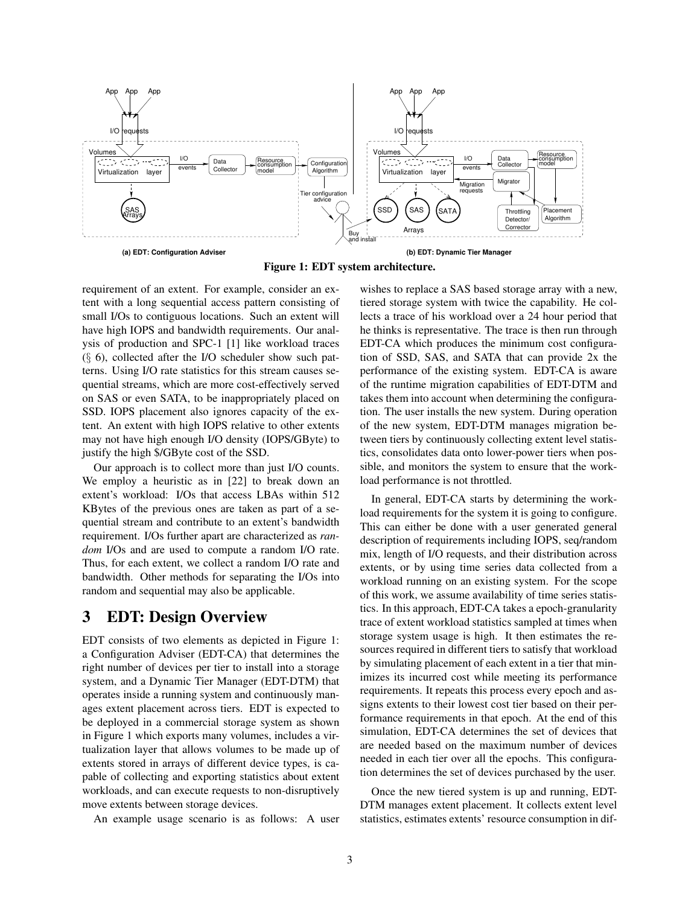<span id="page-2-1"></span>

Figure 1: EDT system architecture.

requirement of an extent. For example, consider an extent with a long sequential access pattern consisting of small I/Os to contiguous locations. Such an extent will have high IOPS and bandwidth requirements. Our analysis of production and SPC-1 [\[1\]](#page-12-7) like workload traces  $(\S$  [6\)](#page-5-0), collected after the I/O scheduler show such patterns. Using I/O rate statistics for this stream causes sequential streams, which are more cost-effectively served on SAS or even SATA, to be inappropriately placed on SSD. IOPS placement also ignores capacity of the extent. An extent with high IOPS relative to other extents may not have high enough I/O density (IOPS/GByte) to justify the high \$/GByte cost of the SSD.

Our approach is to collect more than just I/O counts. We employ a heuristic as in [\[22\]](#page-12-8) to break down an extent's workload: I/Os that access LBAs within 512 KBytes of the previous ones are taken as part of a sequential stream and contribute to an extent's bandwidth requirement. I/Os further apart are characterized as *random* I/Os and are used to compute a random I/O rate. Thus, for each extent, we collect a random I/O rate and bandwidth. Other methods for separating the I/Os into random and sequential may also be applicable.

# <span id="page-2-0"></span>3 EDT: Design Overview

EDT consists of two elements as depicted in Figure [1:](#page-2-1) a Configuration Adviser (EDT-CA) that determines the right number of devices per tier to install into a storage system, and a Dynamic Tier Manager (EDT-DTM) that operates inside a running system and continuously manages extent placement across tiers. EDT is expected to be deployed in a commercial storage system as shown in Figure [1](#page-2-1) which exports many volumes, includes a virtualization layer that allows volumes to be made up of extents stored in arrays of different device types, is capable of collecting and exporting statistics about extent workloads, and can execute requests to non-disruptively move extents between storage devices.

An example usage scenario is as follows: A user

wishes to replace a SAS based storage array with a new, tiered storage system with twice the capability. He collects a trace of his workload over a 24 hour period that he thinks is representative. The trace is then run through EDT-CA which produces the minimum cost configuration of SSD, SAS, and SATA that can provide 2x the performance of the existing system. EDT-CA is aware of the runtime migration capabilities of EDT-DTM and takes them into account when determining the configuration. The user installs the new system. During operation of the new system, EDT-DTM manages migration between tiers by continuously collecting extent level statistics, consolidates data onto lower-power tiers when possible, and monitors the system to ensure that the workload performance is not throttled.

In general, EDT-CA starts by determining the workload requirements for the system it is going to configure. This can either be done with a user generated general description of requirements including IOPS, seq/random mix, length of I/O requests, and their distribution across extents, or by using time series data collected from a workload running on an existing system. For the scope of this work, we assume availability of time series statistics. In this approach, EDT-CA takes a epoch-granularity trace of extent workload statistics sampled at times when storage system usage is high. It then estimates the resources required in different tiers to satisfy that workload by simulating placement of each extent in a tier that minimizes its incurred cost while meeting its performance requirements. It repeats this process every epoch and assigns extents to their lowest cost tier based on their performance requirements in that epoch. At the end of this simulation, EDT-CA determines the set of devices that are needed based on the maximum number of devices needed in each tier over all the epochs. This configuration determines the set of devices purchased by the user.

Once the new tiered system is up and running, EDT-DTM manages extent placement. It collects extent level statistics, estimates extents' resource consumption in dif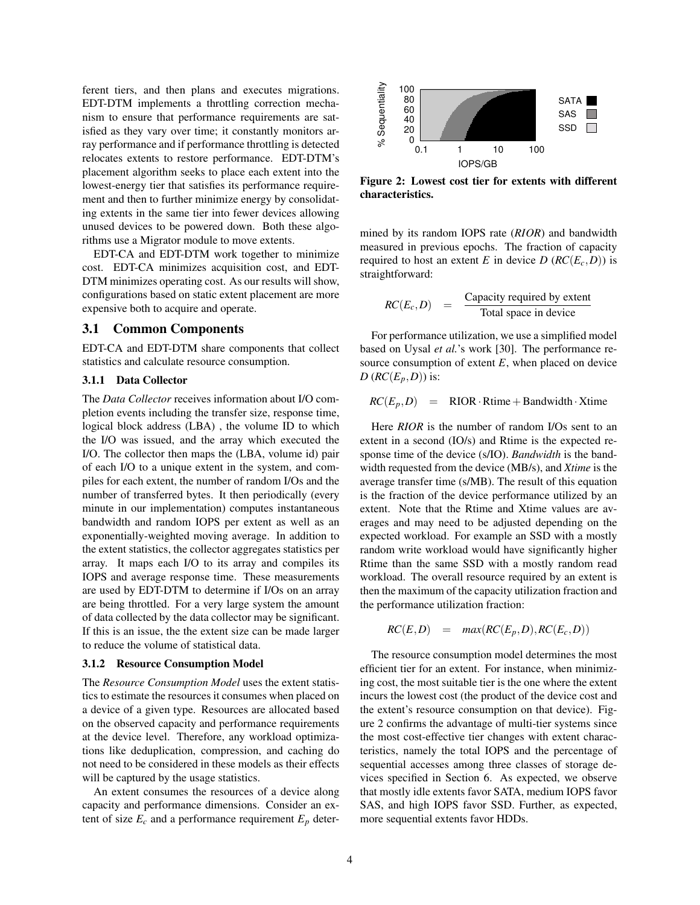ferent tiers, and then plans and executes migrations. EDT-DTM implements a throttling correction mechanism to ensure that performance requirements are satisfied as they vary over time; it constantly monitors array performance and if performance throttling is detected relocates extents to restore performance. EDT-DTM's placement algorithm seeks to place each extent into the lowest-energy tier that satisfies its performance requirement and then to further minimize energy by consolidating extents in the same tier into fewer devices allowing unused devices to be powered down. Both these algorithms use a Migrator module to move extents.

EDT-CA and EDT-DTM work together to minimize cost. EDT-CA minimizes acquisition cost, and EDT-DTM minimizes operating cost. As our results will show, configurations based on static extent placement are more expensive both to acquire and operate.

### 3.1 Common Components

EDT-CA and EDT-DTM share components that collect statistics and calculate resource consumption.

#### 3.1.1 Data Collector

The *Data Collector* receives information about I/O completion events including the transfer size, response time, logical block address (LBA) , the volume ID to which the I/O was issued, and the array which executed the I/O. The collector then maps the (LBA, volume id) pair of each I/O to a unique extent in the system, and compiles for each extent, the number of random I/Os and the number of transferred bytes. It then periodically (every minute in our implementation) computes instantaneous bandwidth and random IOPS per extent as well as an exponentially-weighted moving average. In addition to the extent statistics, the collector aggregates statistics per array. It maps each I/O to its array and compiles its IOPS and average response time. These measurements are used by EDT-DTM to determine if I/Os on an array are being throttled. For a very large system the amount of data collected by the data collector may be significant. If this is an issue, the the extent size can be made larger to reduce the volume of statistical data.

#### 3.1.2 Resource Consumption Model

The *Resource Consumption Model* uses the extent statistics to estimate the resources it consumes when placed on a device of a given type. Resources are allocated based on the observed capacity and performance requirements at the device level. Therefore, any workload optimizations like deduplication, compression, and caching do not need to be considered in these models as their effects will be captured by the usage statistics.

An extent consumes the resources of a device along capacity and performance dimensions. Consider an extent of size  $E_c$  and a performance requirement  $E_p$  deter-

<span id="page-3-0"></span>

Figure 2: Lowest cost tier for extents with different characteristics.

mined by its random IOPS rate (*RIOR*) and bandwidth measured in previous epochs. The fraction of capacity required to host an extent *E* in device *D* ( $RC(E_c,D)$ ) is straightforward:

$$
RC(E_c, D) = \frac{\text{Capacity required by extent}}{\text{Total space in device}}
$$

For performance utilization, we use a simplified model based on Uysal *et al.*'s work [\[30\]](#page-13-1). The performance resource consumption of extent  $E$ , when placed on device  $D$  ( $RC(E_p, D)$ ) is:

$$
RC(E_p, D) = \text{RIOR} \cdot \text{Rtime} + \text{Bandwidth} \cdot \text{Xtime}
$$

Here *RIOR* is the number of random I/Os sent to an extent in a second (IO/s) and Rtime is the expected response time of the device (s/IO). *Bandwidth* is the bandwidth requested from the device (MB/s), and *Xtime* is the average transfer time (s/MB). The result of this equation is the fraction of the device performance utilized by an extent. Note that the Rtime and Xtime values are averages and may need to be adjusted depending on the expected workload. For example an SSD with a mostly random write workload would have significantly higher Rtime than the same SSD with a mostly random read workload. The overall resource required by an extent is then the maximum of the capacity utilization fraction and the performance utilization fraction:

$$
RC(E,D) = max(RC(E_p,D), RC(E_c,D))
$$

The resource consumption model determines the most efficient tier for an extent. For instance, when minimizing cost, the most suitable tier is the one where the extent incurs the lowest cost (the product of the device cost and the extent's resource consumption on that device). Figure [2](#page-3-0) confirms the advantage of multi-tier systems since the most cost-effective tier changes with extent characteristics, namely the total IOPS and the percentage of sequential accesses among three classes of storage devices specified in Section [6.](#page-5-0) As expected, we observe that mostly idle extents favor SATA, medium IOPS favor SAS, and high IOPS favor SSD. Further, as expected, more sequential extents favor HDDs.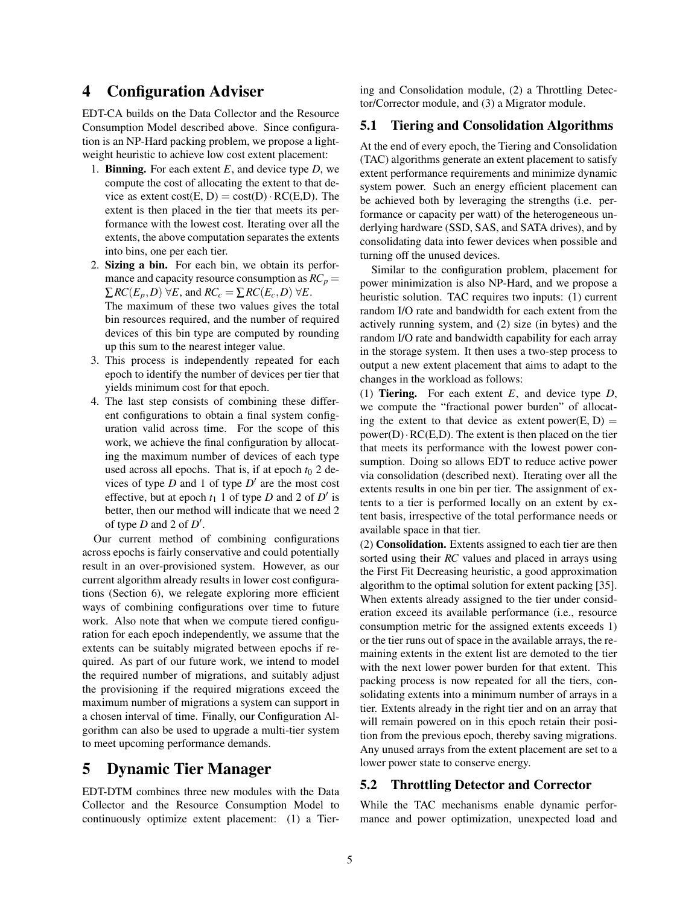### <span id="page-4-0"></span>4 Configuration Adviser

EDT-CA builds on the Data Collector and the Resource Consumption Model described above. Since configuration is an NP-Hard packing problem, we propose a lightweight heuristic to achieve low cost extent placement:

- 1. Binning. For each extent *E*, and device type *D*, we compute the cost of allocating the extent to that device as extent  $cost(E, D) = cost(D) \cdot RC(E, D)$ . The extent is then placed in the tier that meets its performance with the lowest cost. Iterating over all the extents, the above computation separates the extents into bins, one per each tier.
- 2. Sizing a bin. For each bin, we obtain its performance and capacity resource consumption as  $RC_p =$  $\sum RC(E_p, D) \forall E$ , and  $RC_c = \sum RC(E_c, D) \forall E$ . The maximum of these two values gives the total bin resources required, and the number of required devices of this bin type are computed by rounding up this sum to the nearest integer value.
- 3. This process is independently repeated for each epoch to identify the number of devices per tier that yields minimum cost for that epoch.
- 4. The last step consists of combining these different configurations to obtain a final system configuration valid across time. For the scope of this work, we achieve the final configuration by allocating the maximum number of devices of each type used across all epochs. That is, if at epoch  $t_0$  2 devices of type  $D$  and 1 of type  $D'$  are the most cost effective, but at epoch  $t_1$  1 of type *D* and 2 of *D'* is better, then our method will indicate that we need 2 of type  $D$  and  $2$  of  $D'$ .

Our current method of combining configurations across epochs is fairly conservative and could potentially result in an over-provisioned system. However, as our current algorithm already results in lower cost configurations (Section [6\)](#page-5-0), we relegate exploring more efficient ways of combining configurations over time to future work. Also note that when we compute tiered configuration for each epoch independently, we assume that the extents can be suitably migrated between epochs if required. As part of our future work, we intend to model the required number of migrations, and suitably adjust the provisioning if the required migrations exceed the maximum number of migrations a system can support in a chosen interval of time. Finally, our Configuration Algorithm can also be used to upgrade a multi-tier system to meet upcoming performance demands.

# <span id="page-4-1"></span>5 Dynamic Tier Manager

EDT-DTM combines three new modules with the Data Collector and the Resource Consumption Model to continuously optimize extent placement: (1) a Tiering and Consolidation module, (2) a Throttling Detector/Corrector module, and (3) a Migrator module.

### 5.1 Tiering and Consolidation Algorithms

At the end of every epoch, the Tiering and Consolidation (TAC) algorithms generate an extent placement to satisfy extent performance requirements and minimize dynamic system power. Such an energy efficient placement can be achieved both by leveraging the strengths (i.e. performance or capacity per watt) of the heterogeneous underlying hardware (SSD, SAS, and SATA drives), and by consolidating data into fewer devices when possible and turning off the unused devices.

Similar to the configuration problem, placement for power minimization is also NP-Hard, and we propose a heuristic solution. TAC requires two inputs: (1) current random I/O rate and bandwidth for each extent from the actively running system, and (2) size (in bytes) and the random I/O rate and bandwidth capability for each array in the storage system. It then uses a two-step process to output a new extent placement that aims to adapt to the changes in the workload as follows:

(1) Tiering. For each extent *E*, and device type *D*, we compute the "fractional power burden" of allocating the extent to that device as extent power(E, D) =  $power(D) \cdot RC(E,D)$ . The extent is then placed on the tier that meets its performance with the lowest power consumption. Doing so allows EDT to reduce active power via consolidation (described next). Iterating over all the extents results in one bin per tier. The assignment of extents to a tier is performed locally on an extent by extent basis, irrespective of the total performance needs or available space in that tier.

(2) Consolidation. Extents assigned to each tier are then sorted using their *RC* values and placed in arrays using the First Fit Decreasing heuristic, a good approximation algorithm to the optimal solution for extent packing [\[35\]](#page-13-2). When extents already assigned to the tier under consideration exceed its available performance (i.e., resource consumption metric for the assigned extents exceeds 1) or the tier runs out of space in the available arrays, the remaining extents in the extent list are demoted to the tier with the next lower power burden for that extent. This packing process is now repeated for all the tiers, consolidating extents into a minimum number of arrays in a tier. Extents already in the right tier and on an array that will remain powered on in this epoch retain their position from the previous epoch, thereby saving migrations. Any unused arrays from the extent placement are set to a lower power state to conserve energy.

### 5.2 Throttling Detector and Corrector

While the TAC mechanisms enable dynamic performance and power optimization, unexpected load and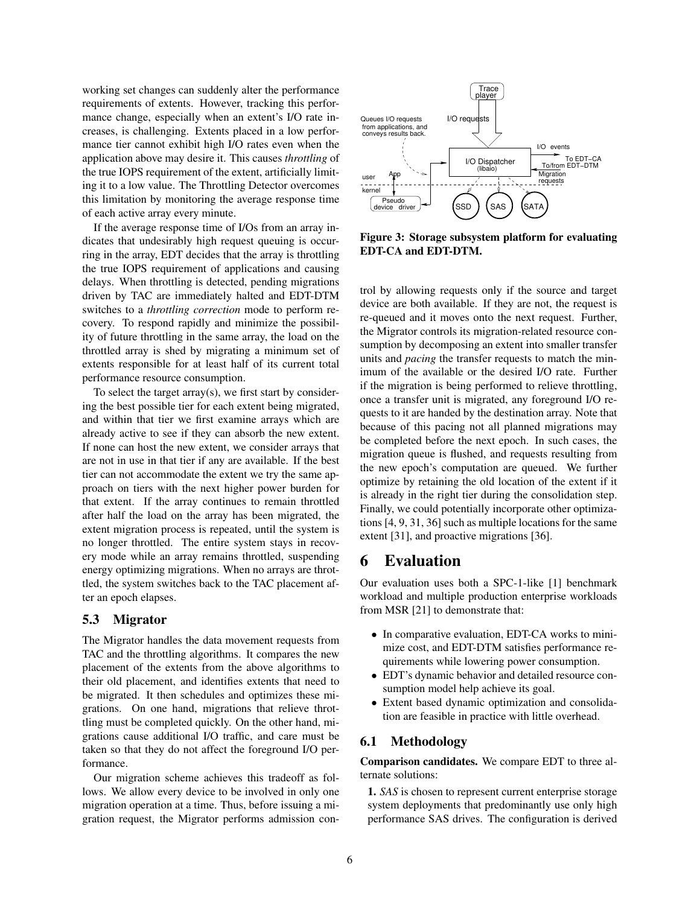working set changes can suddenly alter the performance requirements of extents. However, tracking this performance change, especially when an extent's I/O rate increases, is challenging. Extents placed in a low performance tier cannot exhibit high I/O rates even when the application above may desire it. This causes *throttling* of the true IOPS requirement of the extent, artificially limiting it to a low value. The Throttling Detector overcomes this limitation by monitoring the average response time of each active array every minute.

If the average response time of I/Os from an array indicates that undesirably high request queuing is occurring in the array, EDT decides that the array is throttling the true IOPS requirement of applications and causing delays. When throttling is detected, pending migrations driven by TAC are immediately halted and EDT-DTM switches to a *throttling correction* mode to perform recovery. To respond rapidly and minimize the possibility of future throttling in the same array, the load on the throttled array is shed by migrating a minimum set of extents responsible for at least half of its current total performance resource consumption.

To select the target array(s), we first start by considering the best possible tier for each extent being migrated, and within that tier we first examine arrays which are already active to see if they can absorb the new extent. If none can host the new extent, we consider arrays that are not in use in that tier if any are available. If the best tier can not accommodate the extent we try the same approach on tiers with the next higher power burden for that extent. If the array continues to remain throttled after half the load on the array has been migrated, the extent migration process is repeated, until the system is no longer throttled. The entire system stays in recovery mode while an array remains throttled, suspending energy optimizing migrations. When no arrays are throttled, the system switches back to the TAC placement after an epoch elapses.

### 5.3 Migrator

The Migrator handles the data movement requests from TAC and the throttling algorithms. It compares the new placement of the extents from the above algorithms to their old placement, and identifies extents that need to be migrated. It then schedules and optimizes these migrations. On one hand, migrations that relieve throttling must be completed quickly. On the other hand, migrations cause additional I/O traffic, and care must be taken so that they do not affect the foreground I/O performance.

Our migration scheme achieves this tradeoff as follows. We allow every device to be involved in only one migration operation at a time. Thus, before issuing a migration request, the Migrator performs admission con-

<span id="page-5-1"></span>

Figure 3: Storage subsystem platform for evaluating EDT-CA and EDT-DTM.

trol by allowing requests only if the source and target device are both available. If they are not, the request is re-queued and it moves onto the next request. Further, the Migrator controls its migration-related resource consumption by decomposing an extent into smaller transfer units and *pacing* the transfer requests to match the minimum of the available or the desired I/O rate. Further if the migration is being performed to relieve throttling, once a transfer unit is migrated, any foreground I/O requests to it are handed by the destination array. Note that because of this pacing not all planned migrations may be completed before the next epoch. In such cases, the migration queue is flushed, and requests resulting from the new epoch's computation are queued. We further optimize by retaining the old location of the extent if it is already in the right tier during the consolidation step. Finally, we could potentially incorporate other optimizations [\[4,](#page-12-9) [9,](#page-12-10) [31,](#page-13-3) [36\]](#page-13-4) such as multiple locations for the same extent [\[31\]](#page-13-3), and proactive migrations [\[36\]](#page-13-4).

# <span id="page-5-0"></span>6 Evaluation

Our evaluation uses both a SPC-1-like [\[1\]](#page-12-7) benchmark workload and multiple production enterprise workloads from MSR [\[21\]](#page-12-11) to demonstrate that:

- In comparative evaluation, EDT-CA works to minimize cost, and EDT-DTM satisfies performance requirements while lowering power consumption.
- EDT's dynamic behavior and detailed resource consumption model help achieve its goal.
- Extent based dynamic optimization and consolidation are feasible in practice with little overhead.

### 6.1 Methodology

Comparison candidates. We compare EDT to three alternate solutions:

1. *SAS* is chosen to represent current enterprise storage system deployments that predominantly use only high performance SAS drives. The configuration is derived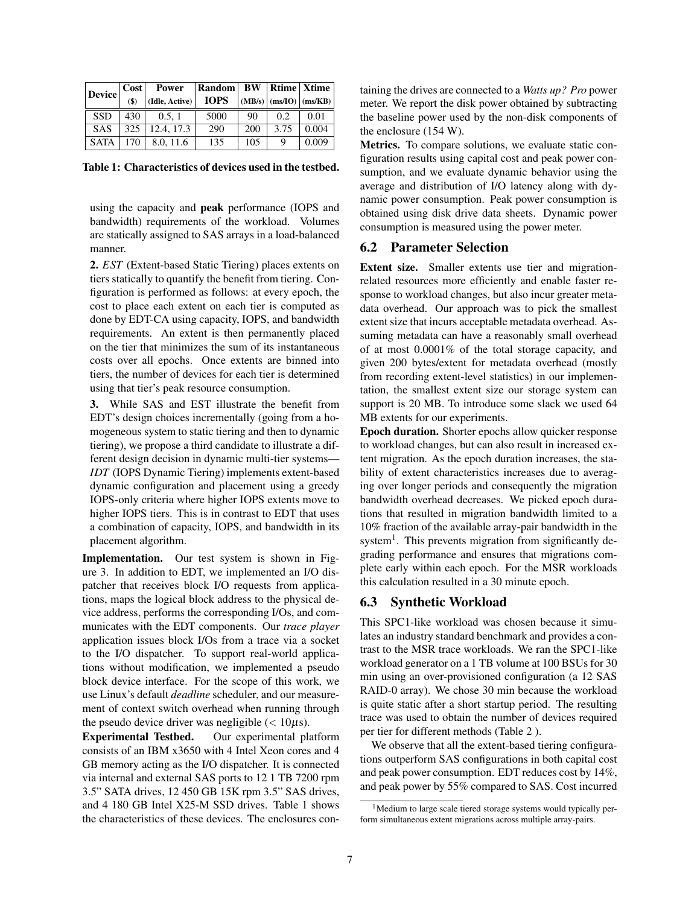<span id="page-6-1"></span>

| <b>Device</b> | Cost | <b>Power</b>         | Random      |     |      | <b>BW</b>   Rtime   Xtime    |
|---------------|------|----------------------|-------------|-----|------|------------------------------|
|               | (\$) | $($ Idle, Active $)$ | <b>IOPS</b> |     |      | $(MB/s)$ $(ms/IO)$ $(ms/KB)$ |
| <b>SSD</b>    | 430  | 0.5.1                | 5000        | 90  | 0.2. | 0.01                         |
| <b>SAS</b>    | 325  | 12.4, 17.3           | 290         | 200 | 3.75 | 0.004                        |
| <b>SATA</b>   | 170  | 8.0.11.6             | 135         | 105 | Q    | 0.009                        |

Table 1: Characteristics of devices used in the testbed.

using the capacity and peak performance (IOPS and bandwidth) requirements of the workload. Volumes are statically assigned to SAS arrays in a load-balanced manner.

2. *EST* (Extent-based Static Tiering) places extents on tiers statically to quantify the benefit from tiering. Configuration is performed as follows: at every epoch, the cost to place each extent on each tier is computed as done by EDT-CA using capacity, IOPS, and bandwidth requirements. An extent is then permanently placed on the tier that minimizes the sum of its instantaneous costs over all epochs. Once extents are binned into tiers, the number of devices for each tier is determined using that tier's peak resource consumption.

3. While SAS and EST illustrate the benefit from EDT's design choices incrementally (going from a homogeneous system to static tiering and then to dynamic tiering), we propose a third candidate to illustrate a different design decision in dynamic multi-tier systems— *IDT* (IOPS Dynamic Tiering) implements extent-based dynamic configuration and placement using a greedy IOPS-only criteria where higher IOPS extents move to higher IOPS tiers. This is in contrast to EDT that uses a combination of capacity, IOPS, and bandwidth in its placement algorithm.

Implementation. Our test system is shown in Figure [3.](#page-5-1) In addition to EDT, we implemented an I/O dispatcher that receives block I/O requests from applications, maps the logical block address to the physical device address, performs the corresponding I/Os, and communicates with the EDT components. Our *trace player* application issues block I/Os from a trace via a socket to the I/O dispatcher. To support real-world applications without modification, we implemented a pseudo block device interface. For the scope of this work, we use Linux's default *deadline* scheduler, and our measurement of context switch overhead when running through the pseudo device driver was negligible  $\left($  < 10 $\mu$ s).

Experimental Testbed. Our experimental platform consists of an IBM x3650 with 4 Intel Xeon cores and 4 GB memory acting as the I/O dispatcher. It is connected via internal and external SAS ports to 12 1 TB 7200 rpm 3.5" SATA drives, 12 450 GB 15K rpm 3.5" SAS drives, and 4 180 GB Intel X25-M SSD drives. Table [1](#page-6-1) shows the characteristics of these devices. The enclosures containing the drives are connected to a *Watts up? Pro* power meter. We report the disk power obtained by subtracting the baseline power used by the non-disk components of the enclosure (154 W).

Metrics. To compare solutions, we evaluate static configuration results using capital cost and peak power consumption, and we evaluate dynamic behavior using the average and distribution of I/O latency along with dynamic power consumption. Peak power consumption is obtained using disk drive data sheets. Dynamic power consumption is measured using the power meter.

### <span id="page-6-0"></span>6.2 Parameter Selection

Extent size. Smaller extents use tier and migrationrelated resources more efficiently and enable faster response to workload changes, but also incur greater metadata overhead. Our approach was to pick the smallest extent size that incurs acceptable metadata overhead. Assuming metadata can have a reasonably small overhead of at most 0.0001% of the total storage capacity, and given 200 bytes/extent for metadata overhead (mostly from recording extent-level statistics) in our implementation, the smallest extent size our storage system can support is 20 MB. To introduce some slack we used 64 MB extents for our experiments.

Epoch duration. Shorter epochs allow quicker response to workload changes, but can also result in increased extent migration. As the epoch duration increases, the stability of extent characteristics increases due to averaging over longer periods and consequently the migration bandwidth overhead decreases. We picked epoch durations that resulted in migration bandwidth limited to a 10% fraction of the available array-pair bandwidth in the system<sup>[1](#page-6-2)</sup>. This prevents migration from significantly degrading performance and ensures that migrations complete early within each epoch. For the MSR workloads this calculation resulted in a 30 minute epoch.

### 6.3 Synthetic Workload

This SPC1-like workload was chosen because it simulates an industry standard benchmark and provides a contrast to the MSR trace workloads. We ran the SPC1-like workload generator on a 1 TB volume at 100 BSUs for 30 min using an over-provisioned configuration (a 12 SAS RAID-0 array). We chose 30 min because the workload is quite static after a short startup period. The resulting trace was used to obtain the number of devices required per tier for different methods (Table [2](#page-7-0) ).

We observe that all the extent-based tiering configurations outperform SAS configurations in both capital cost and peak power consumption. EDT reduces cost by 14%, and peak power by 55% compared to SAS. Cost incurred

<span id="page-6-2"></span><sup>&</sup>lt;sup>1</sup>Medium to large scale tiered storage systems would typically perform simultaneous extent migrations across multiple array-pairs.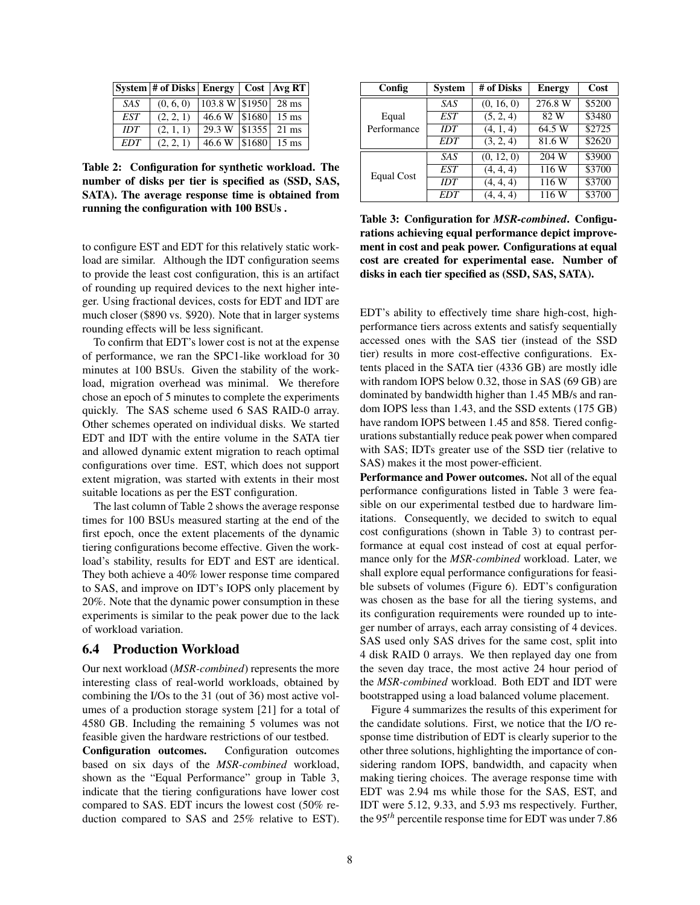<span id="page-7-0"></span>

|      | System # of Disks   Energy   Cost   Avg RT |                                    |  |
|------|--------------------------------------------|------------------------------------|--|
| SAS. | (0, 6, 0)                                  | $ 103.8 \text{ W} $ \$1950   28 ms |  |
| EST  | (2, 2, 1)                                  | 46.6 W $ $1680 $ 15 ms             |  |
| IDT  | (2, 1, 1)                                  | 29.3 W \ \ \$1355 \ \ 21 ms        |  |
| EDT  | (2, 2, 1)                                  | $46.6 W$ \ \$1680 \ 15 ms          |  |

Table 2: Configuration for synthetic workload. The number of disks per tier is specified as (SSD, SAS, SATA). The average response time is obtained from running the configuration with 100 BSUs .

to configure EST and EDT for this relatively static workload are similar. Although the IDT configuration seems to provide the least cost configuration, this is an artifact of rounding up required devices to the next higher integer. Using fractional devices, costs for EDT and IDT are much closer (\$890 vs. \$920). Note that in larger systems rounding effects will be less significant.

To confirm that EDT's lower cost is not at the expense of performance, we ran the SPC1-like workload for 30 minutes at 100 BSUs. Given the stability of the workload, migration overhead was minimal. We therefore chose an epoch of 5 minutes to complete the experiments quickly. The SAS scheme used 6 SAS RAID-0 array. Other schemes operated on individual disks. We started EDT and IDT with the entire volume in the SATA tier and allowed dynamic extent migration to reach optimal configurations over time. EST, which does not support extent migration, was started with extents in their most suitable locations as per the EST configuration.

The last column of Table [2](#page-7-0) shows the average response times for 100 BSUs measured starting at the end of the first epoch, once the extent placements of the dynamic tiering configurations become effective. Given the workload's stability, results for EDT and EST are identical. They both achieve a 40% lower response time compared to SAS, and improve on IDT's IOPS only placement by 20%. Note that the dynamic power consumption in these experiments is similar to the peak power due to the lack of workload variation.

### 6.4 Production Workload

Our next workload (*MSR-combined*) represents the more interesting class of real-world workloads, obtained by combining the I/Os to the 31 (out of 36) most active volumes of a production storage system [\[21\]](#page-12-11) for a total of 4580 GB. Including the remaining 5 volumes was not feasible given the hardware restrictions of our testbed.

Configuration outcomes. Configuration outcomes based on six days of the *MSR-combined* workload, shown as the "Equal Performance" group in Table [3,](#page-7-1) indicate that the tiering configurations have lower cost compared to SAS. EDT incurs the lowest cost (50% reduction compared to SAS and 25% relative to EST).

<span id="page-7-1"></span>

| Config      | <b>System</b> | # of Disks | <b>Energy</b> | Cost   |
|-------------|---------------|------------|---------------|--------|
|             | <b>SAS</b>    | (0, 16, 0) | 276.8 W       | \$5200 |
| Equal       | EST           | (5, 2, 4)  | 82 W          | \$3480 |
| Performance | IDT           | (4, 1, 4)  | 64.5 W        | \$2725 |
|             | <b>EDT</b>    | (3, 2, 4)  | 81.6W         | \$2620 |
|             | SAS           | (0, 12, 0) | 204 W         | \$3900 |
| Equal Cost  | <b>EST</b>    | (4, 4, 4)  | 116 W         | \$3700 |
|             | IDT           | (4, 4, 4)  | 116 W         | \$3700 |
|             | <b>EDT</b>    | (4, 4, 4)  | 116 W         | \$3700 |

Table 3: Configuration for *MSR-combined*. Configurations achieving equal performance depict improvement in cost and peak power. Configurations at equal cost are created for experimental ease. Number of disks in each tier specified as (SSD, SAS, SATA).

EDT's ability to effectively time share high-cost, highperformance tiers across extents and satisfy sequentially accessed ones with the SAS tier (instead of the SSD tier) results in more cost-effective configurations. Extents placed in the SATA tier (4336 GB) are mostly idle with random IOPS below 0.32, those in SAS (69 GB) are dominated by bandwidth higher than 1.45 MB/s and random IOPS less than 1.43, and the SSD extents (175 GB) have random IOPS between 1.45 and 858. Tiered configurations substantially reduce peak power when compared with SAS; IDTs greater use of the SSD tier (relative to SAS) makes it the most power-efficient.

Performance and Power outcomes. Not all of the equal performance configurations listed in Table [3](#page-7-1) were feasible on our experimental testbed due to hardware limitations. Consequently, we decided to switch to equal cost configurations (shown in Table [3\)](#page-7-1) to contrast performance at equal cost instead of cost at equal performance only for the *MSR-combined* workload. Later, we shall explore equal performance configurations for feasible subsets of volumes (Figure [6\)](#page-9-0). EDT's configuration was chosen as the base for all the tiering systems, and its configuration requirements were rounded up to integer number of arrays, each array consisting of 4 devices. SAS used only SAS drives for the same cost, split into 4 disk RAID 0 arrays. We then replayed day one from the seven day trace, the most active 24 hour period of the *MSR-combined* workload. Both EDT and IDT were bootstrapped using a load balanced volume placement.

Figure [4](#page-8-0) summarizes the results of this experiment for the candidate solutions. First, we notice that the I/O response time distribution of EDT is clearly superior to the other three solutions, highlighting the importance of considering random IOPS, bandwidth, and capacity when making tiering choices. The average response time with EDT was 2.94 ms while those for the SAS, EST, and IDT were 5.12, 9.33, and 5.93 ms respectively. Further, the 95*th* percentile response time for EDT was under 7.86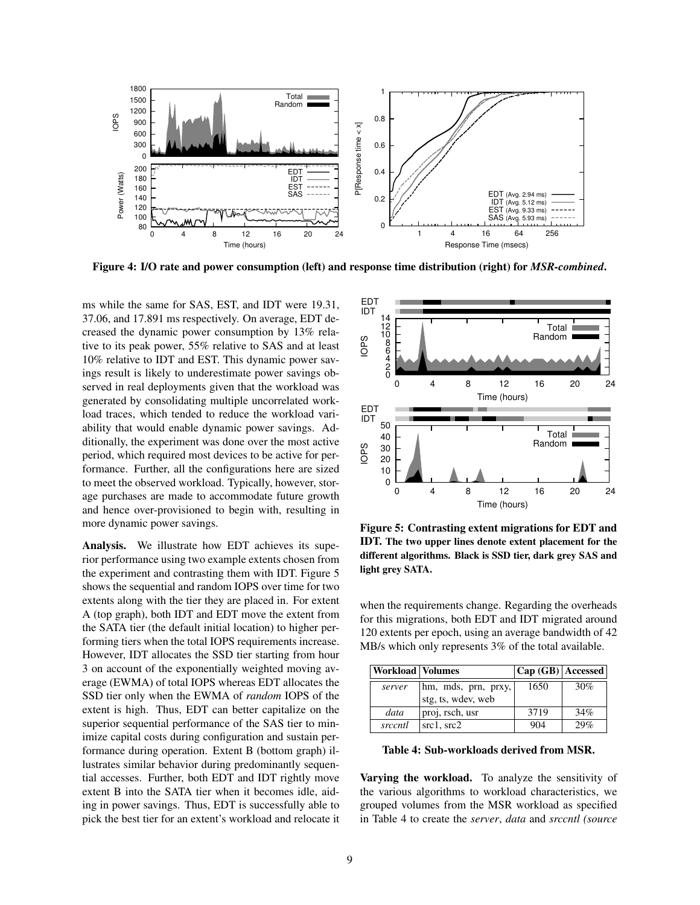<span id="page-8-0"></span>

Figure 4: I/O rate and power consumption (left) and response time distribution (right) for *MSR-combined*.

ms while the same for SAS, EST, and IDT were 19.31, 37.06, and 17.891 ms respectively. On average, EDT decreased the dynamic power consumption by 13% relative to its peak power, 55% relative to SAS and at least 10% relative to IDT and EST. This dynamic power savings result is likely to underestimate power savings observed in real deployments given that the workload was generated by consolidating multiple uncorrelated workload traces, which tended to reduce the workload variability that would enable dynamic power savings. Additionally, the experiment was done over the most active period, which required most devices to be active for performance. Further, all the configurations here are sized to meet the observed workload. Typically, however, storage purchases are made to accommodate future growth and hence over-provisioned to begin with, resulting in more dynamic power savings.

Analysis. We illustrate how EDT achieves its superior performance using two example extents chosen from the experiment and contrasting them with IDT. Figure [5](#page-8-1) shows the sequential and random IOPS over time for two extents along with the tier they are placed in. For extent A (top graph), both IDT and EDT move the extent from the SATA tier (the default initial location) to higher performing tiers when the total IOPS requirements increase. However, IDT allocates the SSD tier starting from hour 3 on account of the exponentially weighted moving average (EWMA) of total IOPS whereas EDT allocates the SSD tier only when the EWMA of *random* IOPS of the extent is high. Thus, EDT can better capitalize on the superior sequential performance of the SAS tier to minimize capital costs during configuration and sustain performance during operation. Extent B (bottom graph) illustrates similar behavior during predominantly sequential accesses. Further, both EDT and IDT rightly move extent B into the SATA tier when it becomes idle, aiding in power savings. Thus, EDT is successfully able to pick the best tier for an extent's workload and relocate it

<span id="page-8-1"></span>

Figure 5: Contrasting extent migrations for EDT and IDT. The two upper lines denote extent placement for the different algorithms. Black is SSD tier, dark grey SAS and light grey SATA.

when the requirements change. Regarding the overheads for this migrations, both EDT and IDT migrated around 120 extents per epoch, using an average bandwidth of 42 MB/s which only represents 3% of the total available.

<span id="page-8-2"></span>

| <b>Workload Volumes</b> |                     | $ Cap(GB) $ Accessed $ $ |     |
|-------------------------|---------------------|--------------------------|-----|
| server                  | hm, mds, prn, prxy, | 1650                     | 30% |
|                         | stg, ts, wdev, web  |                          |     |
| data                    | proj, rsch, usr     | 3719                     | 34% |
| srccntl                 | src1, src2          | 904                      | 29% |

Table 4: Sub-workloads derived from MSR.

Varying the workload. To analyze the sensitivity of the various algorithms to workload characteristics, we grouped volumes from the MSR workload as specified in Table [4](#page-8-2) to create the *server*, *data* and *srccntl (source*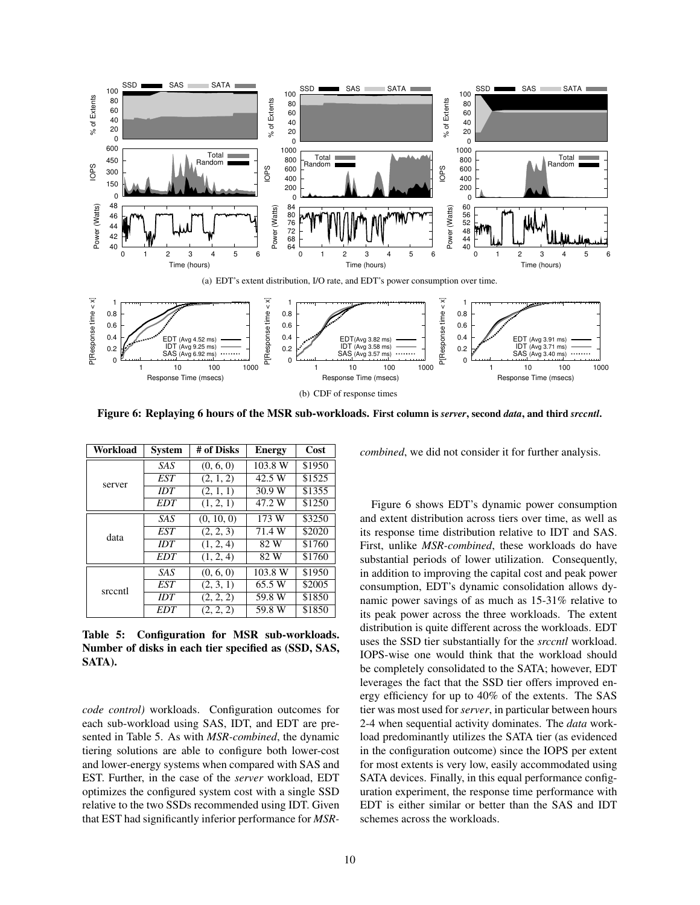<span id="page-9-0"></span>

Figure 6: Replaying 6 hours of the MSR sub-workloads. First column is *server*, second *data*, and third *srccntl*.

<span id="page-9-1"></span>

| Workload | <b>System</b> | # of Disks | <b>Energy</b> | Cost   |
|----------|---------------|------------|---------------|--------|
|          | <b>SAS</b>    | (0, 6, 0)  | 103.8 W       | \$1950 |
|          | EST           | (2, 1, 2)  | 42.5 W        | \$1525 |
| server   | IDT           | (2, 1, 1)  | 30.9 W        | \$1355 |
|          | <b>EDT</b>    | (1, 2, 1)  | 47.2 W        | \$1250 |
|          | SAS           | (0, 10, 0) | 173 W         | \$3250 |
| data     | EST           | (2, 2, 3)  | 71.4 W        | \$2020 |
|          | IDT           | (1, 2, 4)  | 82 W          | \$1760 |
|          | <b>EDT</b>    | (1, 2, 4)  | 82 W          | \$1760 |
|          | SAS.          | (0, 6, 0)  | 103.8 W       | \$1950 |
| srccntl  | EST           | (2, 3, 1)  | 65.5 W        | \$2005 |
|          | IDT           | (2, 2, 2)  | 59.8 W        | \$1850 |
|          | <b>EDT</b>    | (2, 2, 2)  | 59.8 W        | \$1850 |

Table 5: Configuration for MSR sub-workloads. Number of disks in each tier specified as (SSD, SAS, SATA).

*code control)* workloads. Configuration outcomes for each sub-workload using SAS, IDT, and EDT are presented in Table [5.](#page-9-1) As with *MSR-combined*, the dynamic tiering solutions are able to configure both lower-cost and lower-energy systems when compared with SAS and EST. Further, in the case of the *server* workload, EDT optimizes the configured system cost with a single SSD relative to the two SSDs recommended using IDT. Given that EST had significantly inferior performance for *MSR-* *combined*, we did not consider it for further analysis.

Figure [6](#page-9-0) shows EDT's dynamic power consumption and extent distribution across tiers over time, as well as its response time distribution relative to IDT and SAS. First, unlike *MSR-combined*, these workloads do have substantial periods of lower utilization. Consequently, in addition to improving the capital cost and peak power consumption, EDT's dynamic consolidation allows dynamic power savings of as much as 15-31% relative to its peak power across the three workloads. The extent distribution is quite different across the workloads. EDT uses the SSD tier substantially for the *srccntl* workload. IOPS-wise one would think that the workload should be completely consolidated to the SATA; however, EDT leverages the fact that the SSD tier offers improved energy efficiency for up to 40% of the extents. The SAS tier was most used for *server*, in particular between hours 2-4 when sequential activity dominates. The *data* workload predominantly utilizes the SATA tier (as evidenced in the configuration outcome) since the IOPS per extent for most extents is very low, easily accommodated using SATA devices. Finally, in this equal performance configuration experiment, the response time performance with EDT is either similar or better than the SAS and IDT schemes across the workloads.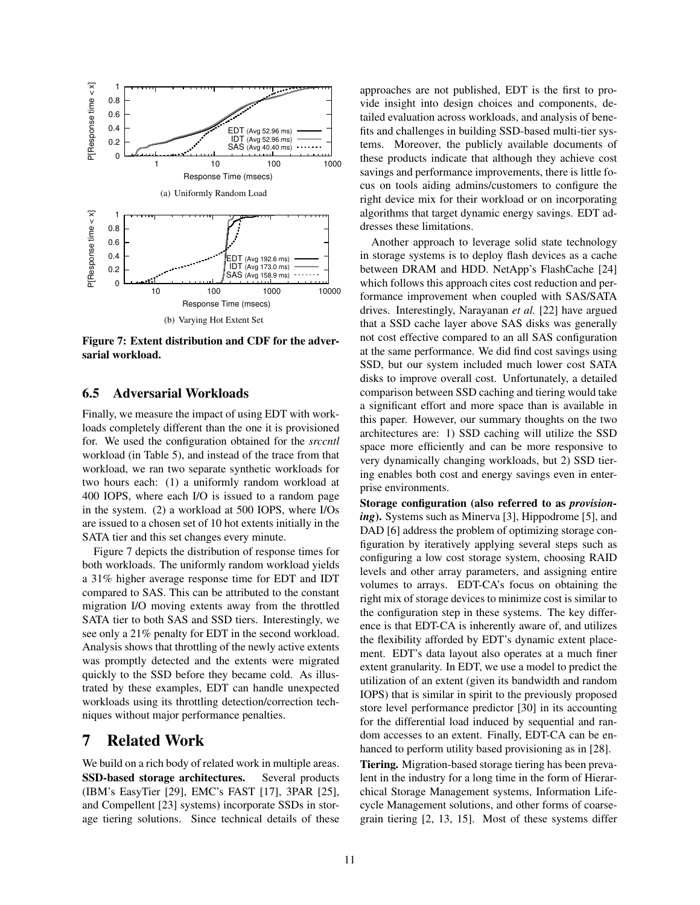<span id="page-10-0"></span>

Figure 7: Extent distribution and CDF for the adversarial workload.

#### 6.5 Adversarial Workloads

Finally, we measure the impact of using EDT with workloads completely different than the one it is provisioned for. We used the configuration obtained for the *srccntl* workload (in Table [5\)](#page-9-1), and instead of the trace from that workload, we ran two separate synthetic workloads for two hours each: (1) a uniformly random workload at 400 IOPS, where each I/O is issued to a random page in the system. (2) a workload at 500 IOPS, where I/Os are issued to a chosen set of 10 hot extents initially in the SATA tier and this set changes every minute.

Figure [7](#page-10-0) depicts the distribution of response times for both workloads. The uniformly random workload yields a 31% higher average response time for EDT and IDT compared to SAS. This can be attributed to the constant migration I/O moving extents away from the throttled SATA tier to both SAS and SSD tiers. Interestingly, we see only a 21% penalty for EDT in the second workload. Analysis shows that throttling of the newly active extents was promptly detected and the extents were migrated quickly to the SSD before they became cold. As illustrated by these examples, EDT can handle unexpected workloads using its throttling detection/correction techniques without major performance penalties.

### 7 Related Work

We build on a rich body of related work in multiple areas. SSD-based storage architectures. Several products (IBM's EasyTier [\[29\]](#page-13-0), EMC's FAST [\[17\]](#page-12-0), 3PAR [\[25\]](#page-12-1), and Compellent [\[23\]](#page-12-2) systems) incorporate SSDs in storage tiering solutions. Since technical details of these approaches are not published, EDT is the first to provide insight into design choices and components, detailed evaluation across workloads, and analysis of benefits and challenges in building SSD-based multi-tier systems. Moreover, the publicly available documents of these products indicate that although they achieve cost savings and performance improvements, there is little focus on tools aiding admins/customers to configure the right device mix for their workload or on incorporating algorithms that target dynamic energy savings. EDT addresses these limitations.

Another approach to leverage solid state technology in storage systems is to deploy flash devices as a cache between DRAM and HDD. NetApp's FlashCache [\[24\]](#page-12-12) which follows this approach cites cost reduction and performance improvement when coupled with SAS/SATA drives. Interestingly, Narayanan *et al.* [\[22\]](#page-12-8) have argued that a SSD cache layer above SAS disks was generally not cost effective compared to an all SAS configuration at the same performance. We did find cost savings using SSD, but our system included much lower cost SATA disks to improve overall cost. Unfortunately, a detailed comparison between SSD caching and tiering would take a significant effort and more space than is available in this paper. However, our summary thoughts on the two architectures are: 1) SSD caching will utilize the SSD space more efficiently and can be more responsive to very dynamically changing workloads, but 2) SSD tiering enables both cost and energy savings even in enterprise environments.

Storage configuration (also referred to as *provisioning*). Systems such as Minerva [\[3\]](#page-12-13), Hippodrome [\[5\]](#page-12-14), and DAD [\[6\]](#page-12-15) address the problem of optimizing storage configuration by iteratively applying several steps such as configuring a low cost storage system, choosing RAID levels and other array parameters, and assigning entire volumes to arrays. EDT-CA's focus on obtaining the right mix of storage devices to minimize cost is similar to the configuration step in these systems. The key difference is that EDT-CA is inherently aware of, and utilizes the flexibility afforded by EDT's dynamic extent placement. EDT's data layout also operates at a much finer extent granularity. In EDT, we use a model to predict the utilization of an extent (given its bandwidth and random IOPS) that is similar in spirit to the previously proposed store level performance predictor [\[30\]](#page-13-1) in its accounting for the differential load induced by sequential and random accesses to an extent. Finally, EDT-CA can be enhanced to perform utility based provisioning as in [\[28\]](#page-13-5).

Tiering. Migration-based storage tiering has been prevalent in the industry for a long time in the form of Hierarchical Storage Management systems, Information Lifecycle Management solutions, and other forms of coarsegrain tiering [\[2,](#page-12-16) [13,](#page-12-17) [15\]](#page-12-18). Most of these systems differ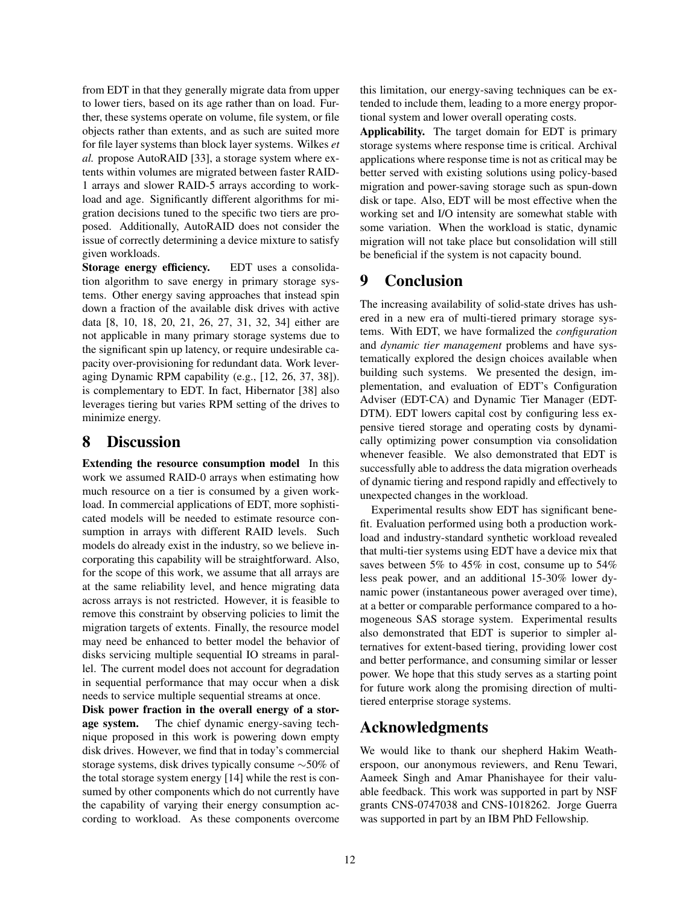from EDT in that they generally migrate data from upper to lower tiers, based on its age rather than on load. Further, these systems operate on volume, file system, or file objects rather than extents, and as such are suited more for file layer systems than block layer systems. Wilkes *et al.* propose AutoRAID [\[33\]](#page-13-6), a storage system where extents within volumes are migrated between faster RAID-1 arrays and slower RAID-5 arrays according to workload and age. Significantly different algorithms for migration decisions tuned to the specific two tiers are proposed. Additionally, AutoRAID does not consider the issue of correctly determining a device mixture to satisfy given workloads.

Storage energy efficiency. EDT uses a consolidation algorithm to save energy in primary storage systems. Other energy saving approaches that instead spin down a fraction of the available disk drives with active data [\[8,](#page-12-19) [10,](#page-12-20) [18,](#page-12-21) [20,](#page-12-22) [21,](#page-12-11) [26,](#page-13-7) [27,](#page-13-8) [31,](#page-13-3) [32,](#page-13-9) [34\]](#page-13-10) either are not applicable in many primary storage systems due to the significant spin up latency, or require undesirable capacity over-provisioning for redundant data. Work leveraging Dynamic RPM capability (e.g., [\[12,](#page-12-23) [26,](#page-13-7) [37,](#page-13-11) [38\]](#page-13-12)). is complementary to EDT. In fact, Hibernator [\[38\]](#page-13-12) also leverages tiering but varies RPM setting of the drives to minimize energy.

# 8 Discussion

Extending the resource consumption model In this work we assumed RAID-0 arrays when estimating how much resource on a tier is consumed by a given workload. In commercial applications of EDT, more sophisticated models will be needed to estimate resource consumption in arrays with different RAID levels. Such models do already exist in the industry, so we believe incorporating this capability will be straightforward. Also, for the scope of this work, we assume that all arrays are at the same reliability level, and hence migrating data across arrays is not restricted. However, it is feasible to remove this constraint by observing policies to limit the migration targets of extents. Finally, the resource model may need be enhanced to better model the behavior of disks servicing multiple sequential IO streams in parallel. The current model does not account for degradation in sequential performance that may occur when a disk needs to service multiple sequential streams at once.

Disk power fraction in the overall energy of a storage system. The chief dynamic energy-saving technique proposed in this work is powering down empty disk drives. However, we find that in today's commercial storage systems, disk drives typically consume ∼50% of the total storage system energy [\[14\]](#page-12-24) while the rest is consumed by other components which do not currently have the capability of varying their energy consumption according to workload. As these components overcome this limitation, our energy-saving techniques can be extended to include them, leading to a more energy proportional system and lower overall operating costs.

Applicability. The target domain for EDT is primary storage systems where response time is critical. Archival applications where response time is not as critical may be better served with existing solutions using policy-based migration and power-saving storage such as spun-down disk or tape. Also, EDT will be most effective when the working set and I/O intensity are somewhat stable with some variation. When the workload is static, dynamic migration will not take place but consolidation will still be beneficial if the system is not capacity bound.

## 9 Conclusion

The increasing availability of solid-state drives has ushered in a new era of multi-tiered primary storage systems. With EDT, we have formalized the *configuration* and *dynamic tier management* problems and have systematically explored the design choices available when building such systems. We presented the design, implementation, and evaluation of EDT's Configuration Adviser (EDT-CA) and Dynamic Tier Manager (EDT-DTM). EDT lowers capital cost by configuring less expensive tiered storage and operating costs by dynamically optimizing power consumption via consolidation whenever feasible. We also demonstrated that EDT is successfully able to address the data migration overheads of dynamic tiering and respond rapidly and effectively to unexpected changes in the workload.

Experimental results show EDT has significant benefit. Evaluation performed using both a production workload and industry-standard synthetic workload revealed that multi-tier systems using EDT have a device mix that saves between 5% to 45% in cost, consume up to 54% less peak power, and an additional 15-30% lower dynamic power (instantaneous power averaged over time), at a better or comparable performance compared to a homogeneous SAS storage system. Experimental results also demonstrated that EDT is superior to simpler alternatives for extent-based tiering, providing lower cost and better performance, and consuming similar or lesser power. We hope that this study serves as a starting point for future work along the promising direction of multitiered enterprise storage systems.

# Acknowledgments

We would like to thank our shepherd Hakim Weatherspoon, our anonymous reviewers, and Renu Tewari, Aameek Singh and Amar Phanishayee for their valuable feedback. This work was supported in part by NSF grants CNS-0747038 and CNS-1018262. Jorge Guerra was supported in part by an IBM PhD Fellowship.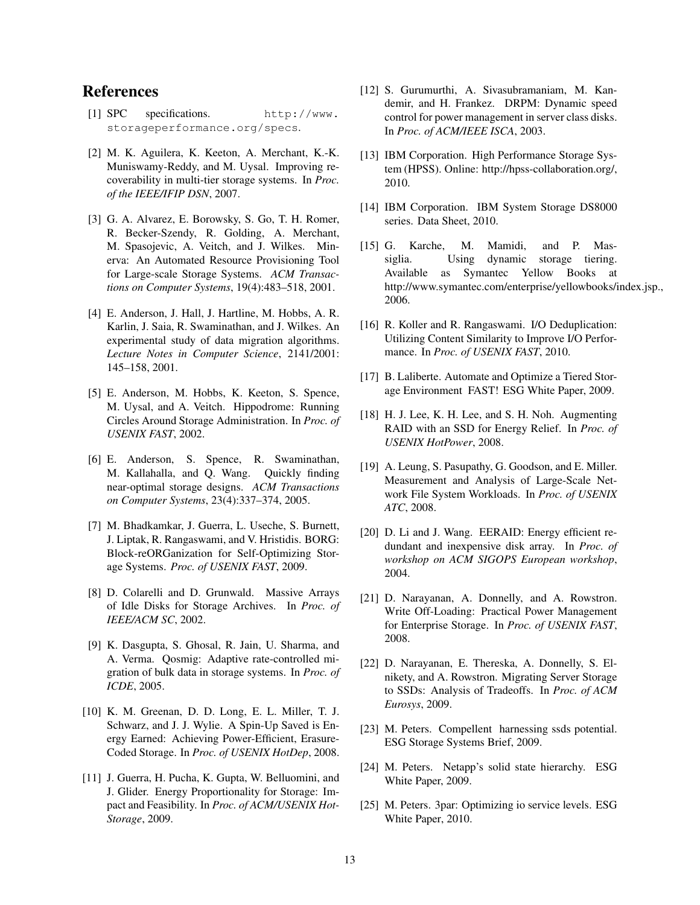## References

- <span id="page-12-7"></span>[1] SPC specifications. [http://www.](http://www.storageperformance.org/specs) [storageperformance.org/specs](http://www.storageperformance.org/specs).
- <span id="page-12-16"></span>[2] M. K. Aguilera, K. Keeton, A. Merchant, K.-K. Muniswamy-Reddy, and M. Uysal. Improving recoverability in multi-tier storage systems. In *Proc. of the IEEE/IFIP DSN*, 2007.
- <span id="page-12-13"></span>[3] G. A. Alvarez, E. Borowsky, S. Go, T. H. Romer, R. Becker-Szendy, R. Golding, A. Merchant, M. Spasojevic, A. Veitch, and J. Wilkes. Minerva: An Automated Resource Provisioning Tool for Large-scale Storage Systems. *ACM Transactions on Computer Systems*, 19(4):483–518, 2001.
- <span id="page-12-9"></span>[4] E. Anderson, J. Hall, J. Hartline, M. Hobbs, A. R. Karlin, J. Saia, R. Swaminathan, and J. Wilkes. An experimental study of data migration algorithms. *Lecture Notes in Computer Science*, 2141/2001: 145–158, 2001.
- <span id="page-12-14"></span>[5] E. Anderson, M. Hobbs, K. Keeton, S. Spence, M. Uysal, and A. Veitch. Hippodrome: Running Circles Around Storage Administration. In *Proc. of USENIX FAST*, 2002.
- <span id="page-12-15"></span>[6] E. Anderson, S. Spence, R. Swaminathan, M. Kallahalla, and Q. Wang. Quickly finding near-optimal storage designs. *ACM Transactions on Computer Systems*, 23(4):337–374, 2005.
- <span id="page-12-3"></span>[7] M. Bhadkamkar, J. Guerra, L. Useche, S. Burnett, J. Liptak, R. Rangaswami, and V. Hristidis. BORG: Block-reORGanization for Self-Optimizing Storage Systems. *Proc. of USENIX FAST*, 2009.
- <span id="page-12-19"></span>[8] D. Colarelli and D. Grunwald. Massive Arrays of Idle Disks for Storage Archives. In *Proc. of IEEE/ACM SC*, 2002.
- <span id="page-12-10"></span>[9] K. Dasgupta, S. Ghosal, R. Jain, U. Sharma, and A. Verma. Qosmig: Adaptive rate-controlled migration of bulk data in storage systems. In *Proc. of ICDE*, 2005.
- <span id="page-12-20"></span>[10] K. M. Greenan, D. D. Long, E. L. Miller, T. J. Schwarz, and J. J. Wylie. A Spin-Up Saved is Energy Earned: Achieving Power-Efficient, Erasure-Coded Storage. In *Proc. of USENIX HotDep*, 2008.
- <span id="page-12-4"></span>[11] J. Guerra, H. Pucha, K. Gupta, W. Belluomini, and J. Glider. Energy Proportionality for Storage: Impact and Feasibility. In *Proc. of ACM/USENIX Hot-Storage*, 2009.
- <span id="page-12-23"></span>[12] S. Gurumurthi, A. Sivasubramaniam, M. Kandemir, and H. Frankez. DRPM: Dynamic speed control for power management in server class disks. In *Proc. of ACM/IEEE ISCA*, 2003.
- <span id="page-12-17"></span>[13] IBM Corporation. High Performance Storage System (HPSS). Online: http://hpss-collaboration.org/, 2010.
- <span id="page-12-24"></span>[14] IBM Corporation. IBM System Storage DS8000 series. Data Sheet, 2010.
- <span id="page-12-18"></span>[15] G. Karche, M. Mamidi, and P. Massiglia. Using dynamic storage tiering. Available as Symantec Yellow Books at http://www.symantec.com/enterprise/yellowbooks/index.jsp., 2006.
- <span id="page-12-5"></span>[16] R. Koller and R. Rangaswami. I/O Deduplication: Utilizing Content Similarity to Improve I/O Performance. In *Proc. of USENIX FAST*, 2010.
- <span id="page-12-0"></span>[17] B. Laliberte. Automate and Optimize a Tiered Storage Environment FAST! ESG White Paper, 2009.
- <span id="page-12-21"></span>[18] H. J. Lee, K. H. Lee, and S. H. Noh. Augmenting RAID with an SSD for Energy Relief. In *Proc. of USENIX HotPower*, 2008.
- <span id="page-12-6"></span>[19] A. Leung, S. Pasupathy, G. Goodson, and E. Miller. Measurement and Analysis of Large-Scale Network File System Workloads. In *Proc. of USENIX ATC*, 2008.
- <span id="page-12-22"></span>[20] D. Li and J. Wang. EERAID: Energy efficient redundant and inexpensive disk array. In *Proc. of workshop on ACM SIGOPS European workshop*, 2004.
- <span id="page-12-11"></span>[21] D. Narayanan, A. Donnelly, and A. Rowstron. Write Off-Loading: Practical Power Management for Enterprise Storage. In *Proc. of USENIX FAST*, 2008.
- <span id="page-12-8"></span>[22] D. Narayanan, E. Thereska, A. Donnelly, S. Elnikety, and A. Rowstron. Migrating Server Storage to SSDs: Analysis of Tradeoffs. In *Proc. of ACM Eurosys*, 2009.
- <span id="page-12-2"></span>[23] M. Peters. Compellent harnessing ssds potential. ESG Storage Systems Brief, 2009.
- <span id="page-12-12"></span>[24] M. Peters. Netapp's solid state hierarchy. ESG White Paper, 2009.
- <span id="page-12-1"></span>[25] M. Peters. 3par: Optimizing io service levels. ESG White Paper, 2010.